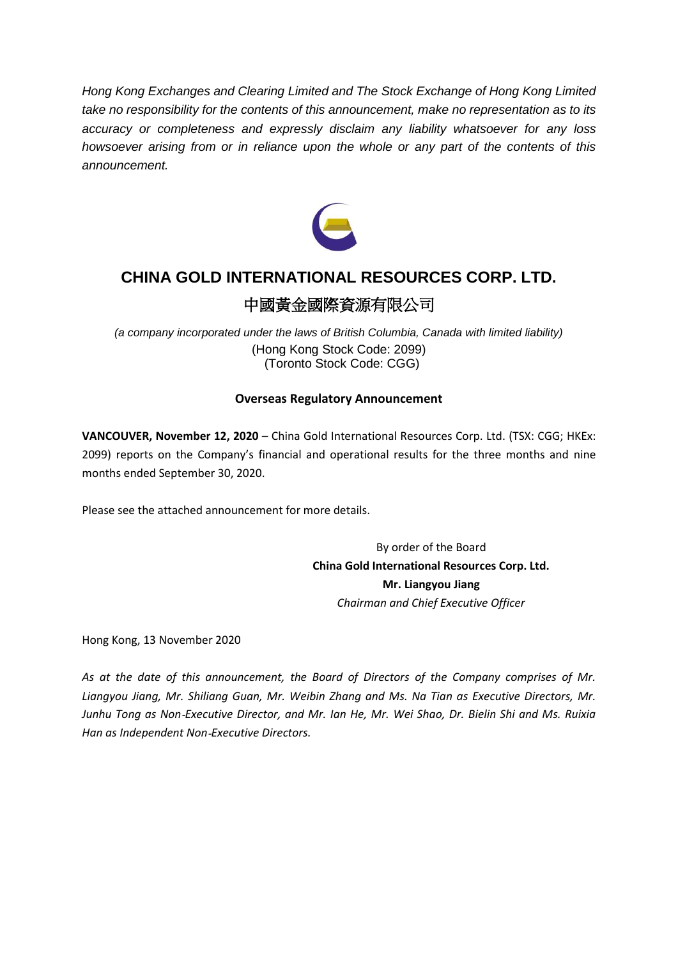*Hong Kong Exchanges and Clearing Limited and The Stock Exchange of Hong Kong Limited take no responsibility for the contents of this announcement, make no representation as to its accuracy or completeness and expressly disclaim any liability whatsoever for any loss howsoever arising from or in reliance upon the whole or any part of the contents of this announcement.*



# **CHINA GOLD INTERNATIONAL RESOURCES CORP. LTD.**

### 中國黃金國際資源有限公司

*(a company incorporated under the laws of British Columbia, Canada with limited liability)* (Hong Kong Stock Code: 2099) (Toronto Stock Code: CGG)

#### **Overseas Regulatory Announcement**

**VANCOUVER, November 12, 2020** – China Gold International Resources Corp. Ltd. (TSX: CGG; HKEx: 2099) reports on the Company's financial and operational results for the three months and nine months ended September 30, 2020.

Please see the attached announcement for more details.

By order of the Board **China Gold International Resources Corp. Ltd. Mr. Liangyou Jiang** *Chairman and Chief Executive Officer*

Hong Kong, 13 November 2020

*As at the date of this announcement, the Board of Directors of the Company comprises of Mr. Liangyou Jiang, Mr. Shiliang Guan, Mr. Weibin Zhang and Ms. Na Tian as Executive Directors, Mr. Junhu Tong as Non*‐*Executive Director, and Mr. Ian He, Mr. Wei Shao, Dr. Bielin Shi and Ms. Ruixia Han as Independent Non*‐*Executive Directors.*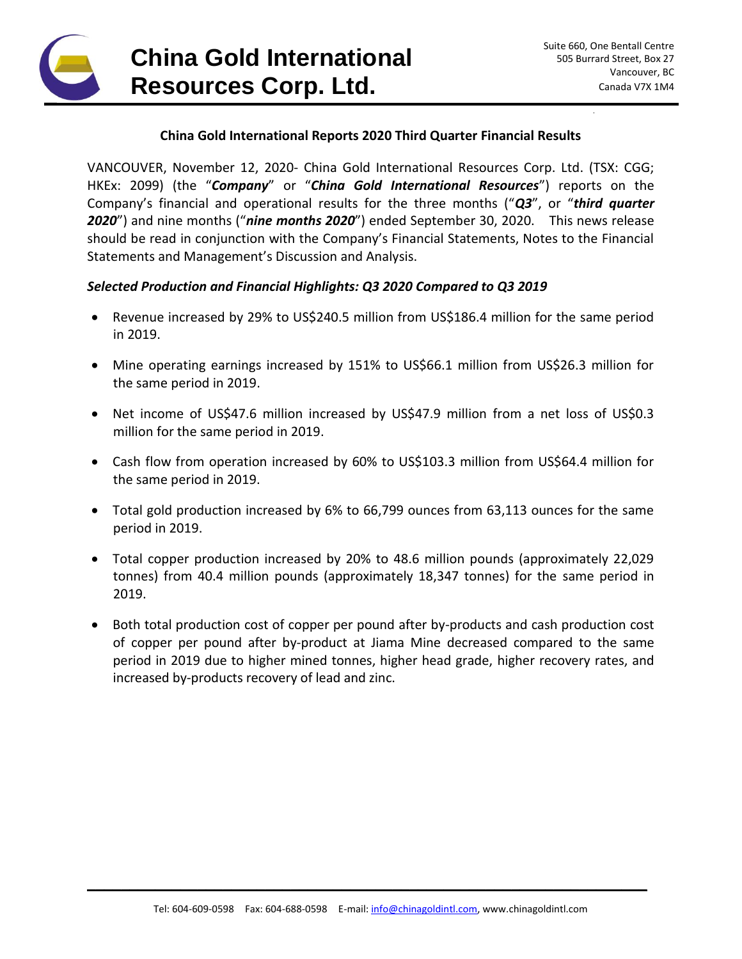## **China Gold International Resources Corp. Ltd.**

#### **China Gold International Reports 2020 Third Quarter Financial Results**

VANCOUVER, November 12, 2020- China Gold International Resources Corp. Ltd. (TSX: CGG; HKEx: 2099) (the "*Company*" or "*China Gold International Resources*") reports on the Company's financial and operational results for the three months ("*Q3*", or "*third quarter 2020*") and nine months ("*nine months 2020*") ended September 30, 2020. This news release should be read in conjunction with the Company's Financial Statements, Notes to the Financial Statements and Management's Discussion and Analysis.

#### *Selected Production and Financial Highlights: Q3 2020 Compared to Q3 2019*

- Revenue increased by 29% to US\$240.5 million from US\$186.4 million for the same period in 2019.
- Mine operating earnings increased by 151% to US\$66.1 million from US\$26.3 million for the same period in 2019.
- Net income of US\$47.6 million increased by US\$47.9 million from a net loss of US\$0.3 million for the same period in 2019.
- Cash flow from operation increased by 60% to US\$103.3 million from US\$64.4 million for the same period in 2019.
- Total gold production increased by 6% to 66,799 ounces from 63,113 ounces for the same period in 2019.
- Total copper production increased by 20% to 48.6 million pounds (approximately 22,029 tonnes) from 40.4 million pounds (approximately 18,347 tonnes) for the same period in 2019.
- Both total production cost of copper per pound after by-products and cash production cost of copper per pound after by-product at Jiama Mine decreased compared to the same period in 2019 due to higher mined tonnes, higher head grade, higher recovery rates, and increased by-products recovery of lead and zinc.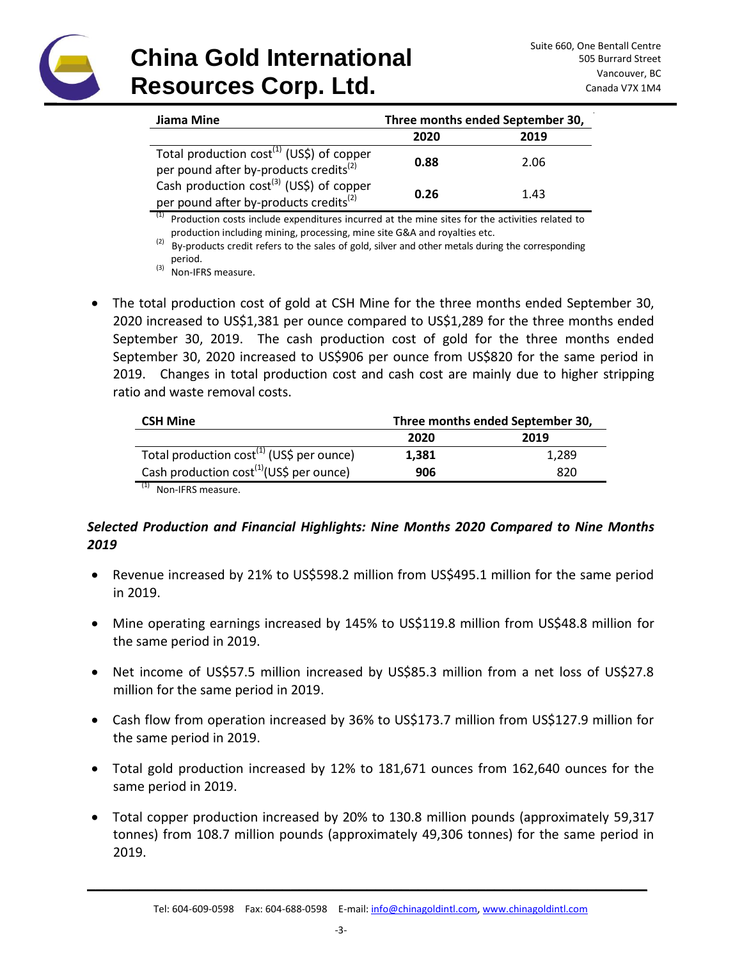

| Jiama Mine                                                                                                 | Three months ended September 30, |      |
|------------------------------------------------------------------------------------------------------------|----------------------------------|------|
|                                                                                                            | 2020                             | 2019 |
| Total production $cost^{(1)}$ (US\$) of copper<br>per pound after by-products credits <sup>(2)</sup>       | 0.88                             | 2.06 |
| Cash production cost <sup>(3)</sup> (US\$) of copper<br>per pound after by-products credits <sup>(2)</sup> | 0.26                             | 1.43 |

<sup>(1)</sup> Production costs include expenditures incurred at the mine sites for the activities related to production including mining, processing, mine site G&A and royalties etc.

 $(2)$  By-products credit refers to the sales of gold, silver and other metals during the corresponding period.

- (3) Non-IFRS measure.
- The total production cost of gold at CSH Mine for the three months ended September 30, 2020 increased to US\$1,381 per ounce compared to US\$1,289 for the three months ended September 30, 2019. The cash production cost of gold for the three months ended September 30, 2020 increased to US\$906 per ounce from US\$820 for the same period in 2019. Changes in total production cost and cash cost are mainly due to higher stripping ratio and waste removal costs.

| <b>CSH Mine</b>                                       | Three months ended September 30, |       |
|-------------------------------------------------------|----------------------------------|-------|
|                                                       | 2020                             | 2019  |
| Total production cost <sup>(1)</sup> (US\$ per ounce) | 1.381                            | 1,289 |
| Cash production $cost^{(1)}(US\$ per ounce)           | 906                              | 820   |
| Non IFBC moneyro                                      |                                  |       |

(1) Non-IFRS measure.

### *Selected Production and Financial Highlights: Nine Months 2020 Compared to Nine Months 2019*

- Revenue increased by 21% to US\$598.2 million from US\$495.1 million for the same period in 2019.
- Mine operating earnings increased by 145% to US\$119.8 million from US\$48.8 million for the same period in 2019.
- Net income of US\$57.5 million increased by US\$85.3 million from a net loss of US\$27.8 million for the same period in 2019.
- Cash flow from operation increased by 36% to US\$173.7 million from US\$127.9 million for the same period in 2019.
- Total gold production increased by 12% to 181,671 ounces from 162,640 ounces for the same period in 2019.
- Total copper production increased by 20% to 130.8 million pounds (approximately 59,317 tonnes) from 108.7 million pounds (approximately 49,306 tonnes) for the same period in 2019.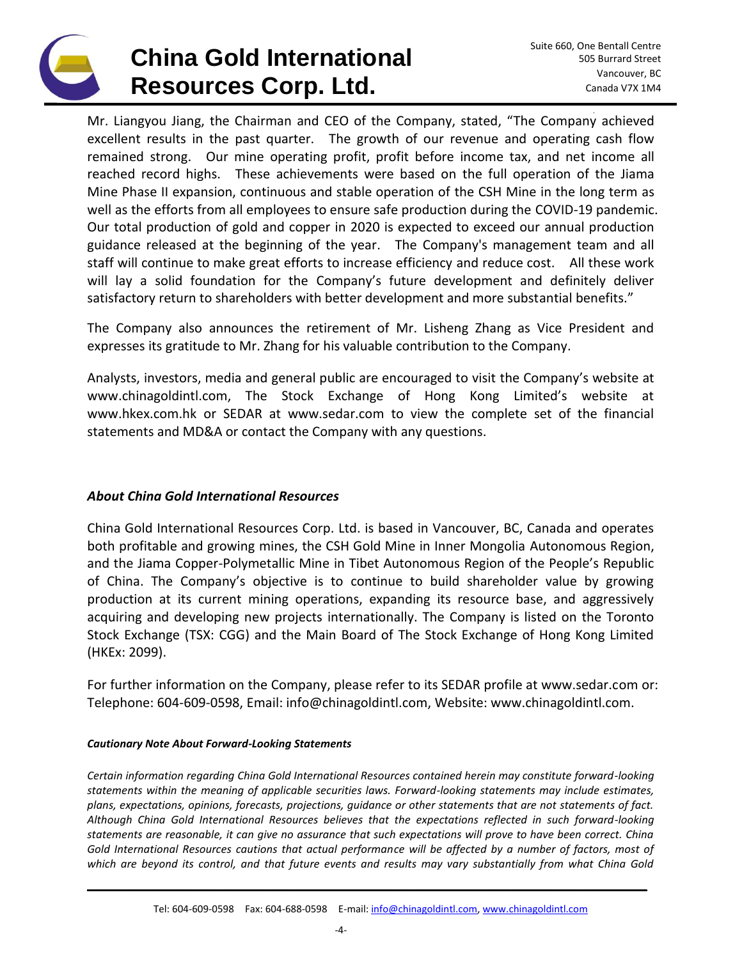## **China Gold International Resources Corp. Ltd.**

Mr. Liangyou Jiang, the Chairman and CEO of the Company, stated, "The Company achieved excellent results in the past quarter. The growth of our revenue and operating cash flow remained strong. Our mine operating profit, profit before income tax, and net income all reached record highs. These achievements were based on the full operation of the Jiama Mine Phase II expansion, continuous and stable operation of the CSH Mine in the long term as well as the efforts from all employees to ensure safe production during the COVID-19 pandemic. Our total production of gold and copper in 2020 is expected to exceed our annual production guidance released at the beginning of the year. The Company's management team and all staff will continue to make great efforts to increase efficiency and reduce cost. All these work will lay a solid foundation for the Company's future development and definitely deliver satisfactory return to shareholders with better development and more substantial benefits."

The Company also announces the retirement of Mr. Lisheng Zhang as Vice President and expresses its gratitude to Mr. Zhang for his valuable contribution to the Company.

Analysts, investors, media and general public are encouraged to visit the Company's website at www.chinagoldintl.com, The Stock Exchange of Hong Kong Limited's website at www.hkex.com.hk or SEDAR at www.sedar.com to view the complete set of the financial statements and MD&A or contact the Company with any questions.

#### *About China Gold International Resources*

China Gold International Resources Corp. Ltd. is based in Vancouver, BC, Canada and operates both profitable and growing mines, the CSH Gold Mine in Inner Mongolia Autonomous Region, and the Jiama Copper-Polymetallic Mine in Tibet Autonomous Region of the People's Republic of China. The Company's objective is to continue to build shareholder value by growing production at its current mining operations, expanding its resource base, and aggressively acquiring and developing new projects internationally. The Company is listed on the Toronto Stock Exchange (TSX: CGG) and the Main Board of The Stock Exchange of Hong Kong Limited (HKEx: 2099).

For further information on the Company, please refer to its SEDAR profile at www.sedar.com or: Telephone: 604-609-0598, Email: info@chinagoldintl.com, Website: www.chinagoldintl.com.

#### *Cautionary Note About Forward-Looking Statements*

*Certain information regarding China Gold International Resources contained herein may constitute forward-looking statements within the meaning of applicable securities laws. Forward-looking statements may include estimates, plans, expectations, opinions, forecasts, projections, guidance or other statements that are not statements of fact. Although China Gold International Resources believes that the expectations reflected in such forward-looking statements are reasonable, it can give no assurance that such expectations will prove to have been correct. China Gold International Resources cautions that actual performance will be affected by a number of factors, most of which are beyond its control, and that future events and results may vary substantially from what China Gold*